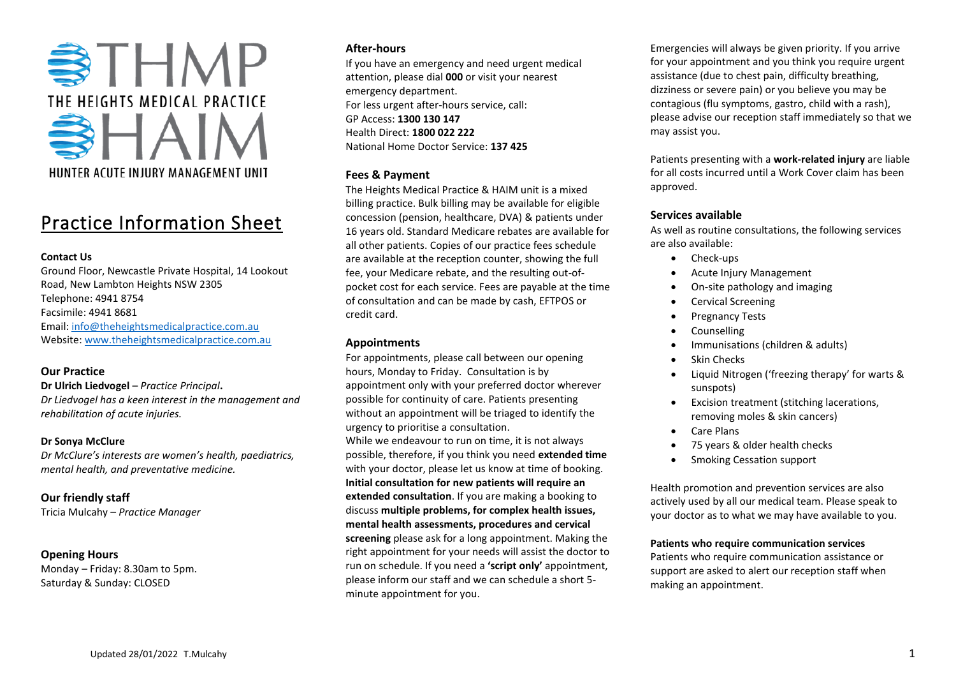

# Practice Information Sheet

## **Contact Us**

Ground Floor, Newcastle Private Hospital, 14 Lookout Road, New Lambton Heights NSW 2305 Telephone: 4941 8754 Facsimile: 4941 8681 Email: [info@theheightsmedicalpractice.com.au](mailto:info@theheightsmedicalpractice.com.au) Website[: www.theheightsmedicalpractice.com.au](http://www.theheightsmedicalpractice.com.au/)

# **Our Practice**

**Dr Ulrich Liedvogel** – *Practice Principal***.** *Dr Liedvogel has a keen interest in the management and rehabilitation of acute injuries.* 

## **Dr Sonya McClure**

*Dr McClure's interests are women's health, paediatrics, mental health, and preventative medicine.*

# **Our friendly staff**

Tricia Mulcahy – *Practice Manager*

# **Opening Hours**

Monday – Friday: 8.30am to 5pm. Saturday & Sunday: CLOSED

## **After-hours**

If you have an emergency and need urgent medical attention, please dial **000** or visit your nearest emergency department. For less urgent after-hours service, call: GP Access: **1300 130 147** Health Direct: **1800 022 222** National Home Doctor Service: **137 425**

## **Fees & Payment**

The Heights Medical Practice & HAIM unit is a mixed billing practice. Bulk billing may be available for eligible concession (pension, healthcare, DVA) & patients under 16 years old. Standard Medicare rebates are available for all other patients. Copies of our practice fees schedule are available at the reception counter, showing the full fee, your Medicare rebate, and the resulting out-ofpocket cost for each service. Fees are payable at the time of consultation and can be made by cash, EFTPOS or credit card.

# **Appointments**

For appointments, please call between our opening hours, Monday to Friday. Consultation is by appointment only with your preferred doctor wherever possible for continuity of care. Patients presenting without an appointment will be triaged to identify the urgency to prioritise a consultation.

While we endeavour to run on time, it is not always possible, therefore, if you think you need **extended time** with your doctor, please let us know at time of booking. **Initial consultation for new patients will require an extended consultation**. If you are making a booking to discuss **multiple problems, for complex health issues, mental health assessments, procedures and cervical screening** please ask for a long appointment. Making the right appointment for your needs will assist the doctor to run on schedule. If you need a **'script only'** appointment, please inform our staff and we can schedule a short 5 minute appointment for you.

Emergencies will always be given priority. If you arrive for your appointment and you think you require urgent assistance (due to chest pain, difficulty breathing, dizziness or severe pain) or you believe you may be contagious (flu symptoms, gastro, child with a rash), please advise our reception staff immediately so that we may assist you.

Patients presenting with a **work-related injury** are liable for all costs incurred until a Work Cover claim has been approved.

## **Services available**

As well as routine consultations, the following services are also available:

- Check-ups
- Acute Injury Management
- On-site pathology and imaging
- Cervical Screening
- Pregnancy Tests
- Counselling
- Immunisations (children & adults)
- Skin Checks
- Liquid Nitrogen ('freezing therapy' for warts & sunspots)
- Excision treatment (stitching lacerations, removing moles & skin cancers)
- Care Plans
- 75 years & older health checks
- Smoking Cessation support

Health promotion and prevention services are also actively used by all our medical team. Please speak to your doctor as to what we may have available to you.

## **Patients who require communication services**

Patients who require communication assistance or support are asked to alert our reception staff when making an appointment.